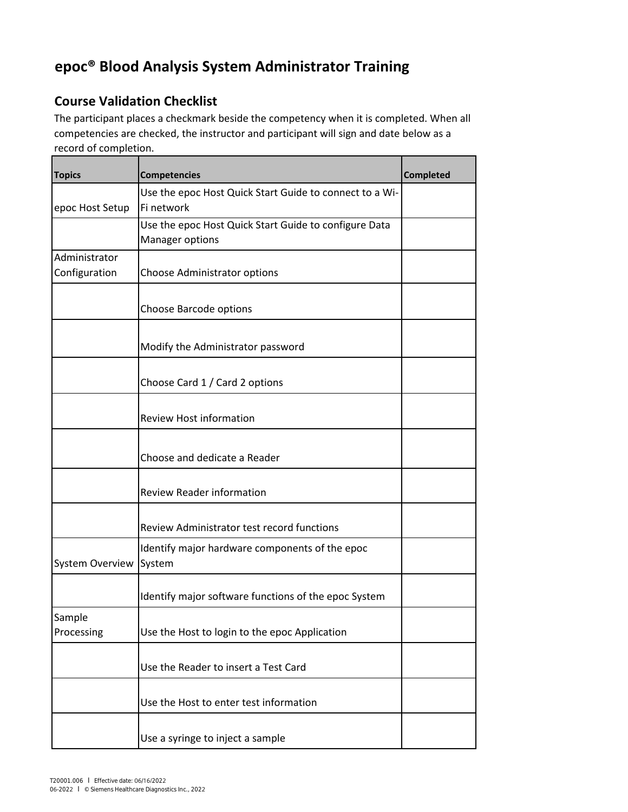## **epoc® Blood Analysis System Administrator Training**

## **Course Validation Checklist**

The participant places a checkmark beside the competency when it is completed. When all competencies are checked, the instructor and participant will sign and date below as a record of completion.

| <b>Topics</b>                  | <b>Competencies</b>                                                      | <b>Completed</b> |
|--------------------------------|--------------------------------------------------------------------------|------------------|
| epoc Host Setup                | Use the epoc Host Quick Start Guide to connect to a Wi-<br>Fi network    |                  |
|                                | Use the epoc Host Quick Start Guide to configure Data<br>Manager options |                  |
| Administrator<br>Configuration | Choose Administrator options                                             |                  |
|                                | Choose Barcode options                                                   |                  |
|                                | Modify the Administrator password                                        |                  |
|                                | Choose Card 1 / Card 2 options                                           |                  |
|                                | <b>Review Host information</b>                                           |                  |
|                                | Choose and dedicate a Reader                                             |                  |
|                                | <b>Review Reader information</b>                                         |                  |
|                                | Review Administrator test record functions                               |                  |
| <b>System Overview</b>         | Identify major hardware components of the epoc<br>System                 |                  |
|                                | Identify major software functions of the epoc System                     |                  |
| Sample<br>Processing           | Use the Host to login to the epoc Application                            |                  |
|                                | Use the Reader to insert a Test Card                                     |                  |
|                                | Use the Host to enter test information                                   |                  |
|                                | Use a syringe to inject a sample                                         |                  |